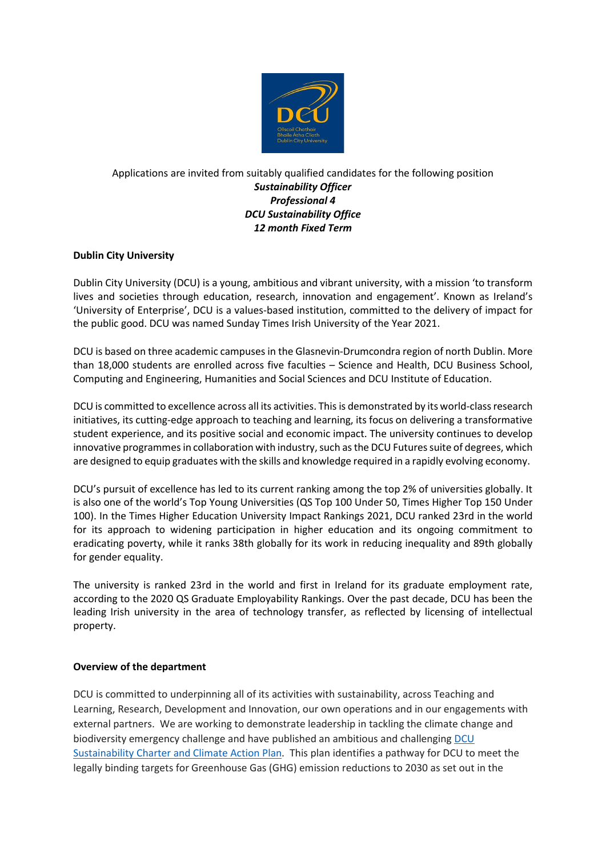

## Applications are invited from suitably qualified candidates for the following position *Sustainability Officer Professional 4 DCU Sustainability Office 12 month Fixed Term*

# **Dublin City University**

Dublin City University (DCU) is a young, ambitious and vibrant university, with a mission 'to transform lives and societies through education, research, innovation and engagement'. Known as Ireland's 'University of Enterprise', DCU is a values-based institution, committed to the delivery of impact for the public good. DCU was named Sunday Times Irish University of the Year 2021.

DCU is based on three academic campuses in the Glasnevin-Drumcondra region of north Dublin. More than 18,000 students are enrolled across five faculties – Science and Health, DCU Business School, Computing and Engineering, Humanities and Social Sciences and DCU Institute of Education.

DCU is committed to excellence across all its activities. This is demonstrated by its world-class research initiatives, its cutting-edge approach to teaching and learning, its focus on delivering a transformative student experience, and its positive social and economic impact. The university continues to develop innovative programmes in collaboration with industry, such as the DCU Futures suite of degrees, which are designed to equip graduates with the skills and knowledge required in a rapidly evolving economy.

DCU's pursuit of excellence has led to its current ranking among the top 2% of universities globally. It is also one of the world's Top Young Universities (QS Top 100 Under 50, Times Higher Top 150 Under 100). In the Times Higher Education University Impact Rankings 2021, DCU ranked 23rd in the world for its approach to widening participation in higher education and its ongoing commitment to eradicating poverty, while it ranks 38th globally for its work in reducing inequality and 89th globally for gender equality.

The university is ranked 23rd in the world and first in Ireland for its graduate employment rate, according to the 2020 QS Graduate Employability Rankings. Over the past decade, DCU has been the leading Irish university in the area of technology transfer, as reflected by licensing of intellectual property.

## **Overview of the department**

DCU is committed to underpinning all of its activities with sustainability, across Teaching and Learning, Research, Development and Innovation, our own operations and in our engagements with external partners. We are working to demonstrate leadership in tackling the climate change and biodiversity emergency challenge and have published an ambitious and challenging [DCU](https://www.dcu.ie/sites/default/files/inline-files/dcu-climate-action-plan-2021-2026.pdf)  [Sustainability Charter and Climate Action Plan.](https://www.dcu.ie/sites/default/files/inline-files/dcu-climate-action-plan-2021-2026.pdf) This plan identifies a pathway for DCU to meet the legally binding targets for Greenhouse Gas (GHG) emission reductions to 2030 as set out in the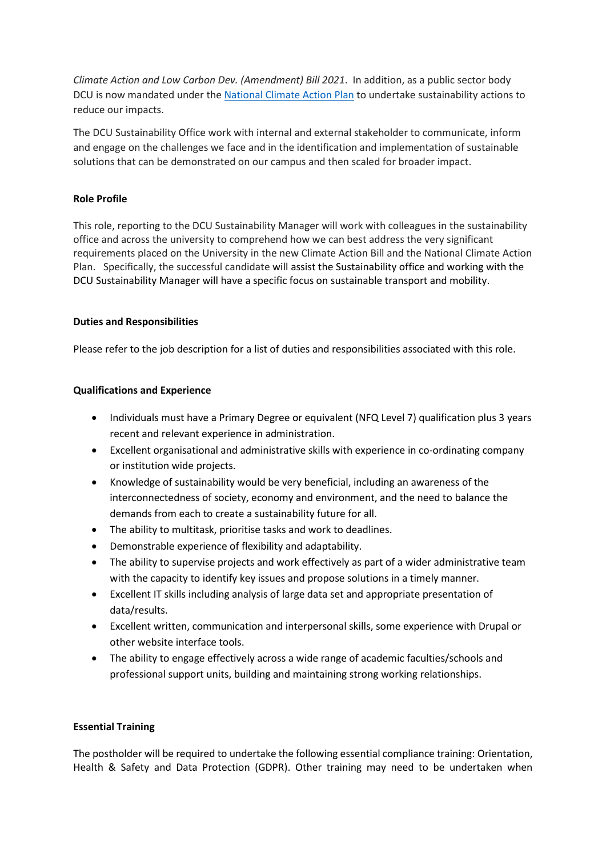*Climate Action and Low Carbon Dev. (Amendment) Bill 2021*. In addition, as a public sector body DCU is now mandated under the [National Climate Action Plan](https://www.gov.ie/en/publication/6223e-climate-action-plan-2021/) to undertake sustainability actions to reduce our impacts.

The DCU Sustainability Office work with internal and external stakeholder to communicate, inform and engage on the challenges we face and in the identification and implementation of sustainable solutions that can be demonstrated on our campus and then scaled for broader impact.

## **Role Profile**

This role, reporting to the DCU Sustainability Manager will work with colleagues in the sustainability office and across the university to comprehend how we can best address the very significant requirements placed on the University in the new Climate Action Bill and the National Climate Action Plan. Specifically, the successful candidate will assist the Sustainability office and working with the DCU Sustainability Manager will have a specific focus on sustainable transport and mobility.

## **Duties and Responsibilities**

Please refer to the job description for a list of duties and responsibilities associated with this role.

## **Qualifications and Experience**

- Individuals must have a Primary Degree or equivalent (NFQ Level 7) qualification plus 3 years recent and relevant experience in administration.
- Excellent organisational and administrative skills with experience in co-ordinating company or institution wide projects.
- Knowledge of sustainability would be very beneficial, including an awareness of the interconnectedness of society, economy and environment, and the need to balance the demands from each to create a sustainability future for all.
- The ability to multitask, prioritise tasks and work to deadlines.
- Demonstrable experience of flexibility and adaptability.
- The ability to supervise projects and work effectively as part of a wider administrative team with the capacity to identify key issues and propose solutions in a timely manner.
- Excellent IT skills including analysis of large data set and appropriate presentation of data/results.
- Excellent written, communication and interpersonal skills, some experience with Drupal or other website interface tools.
- The ability to engage effectively across a wide range of academic faculties/schools and professional support units, building and maintaining strong working relationships.

#### **Essential Training**

The postholder will be required to undertake the following essential compliance training: Orientation, Health & Safety and Data Protection (GDPR). Other training may need to be undertaken when